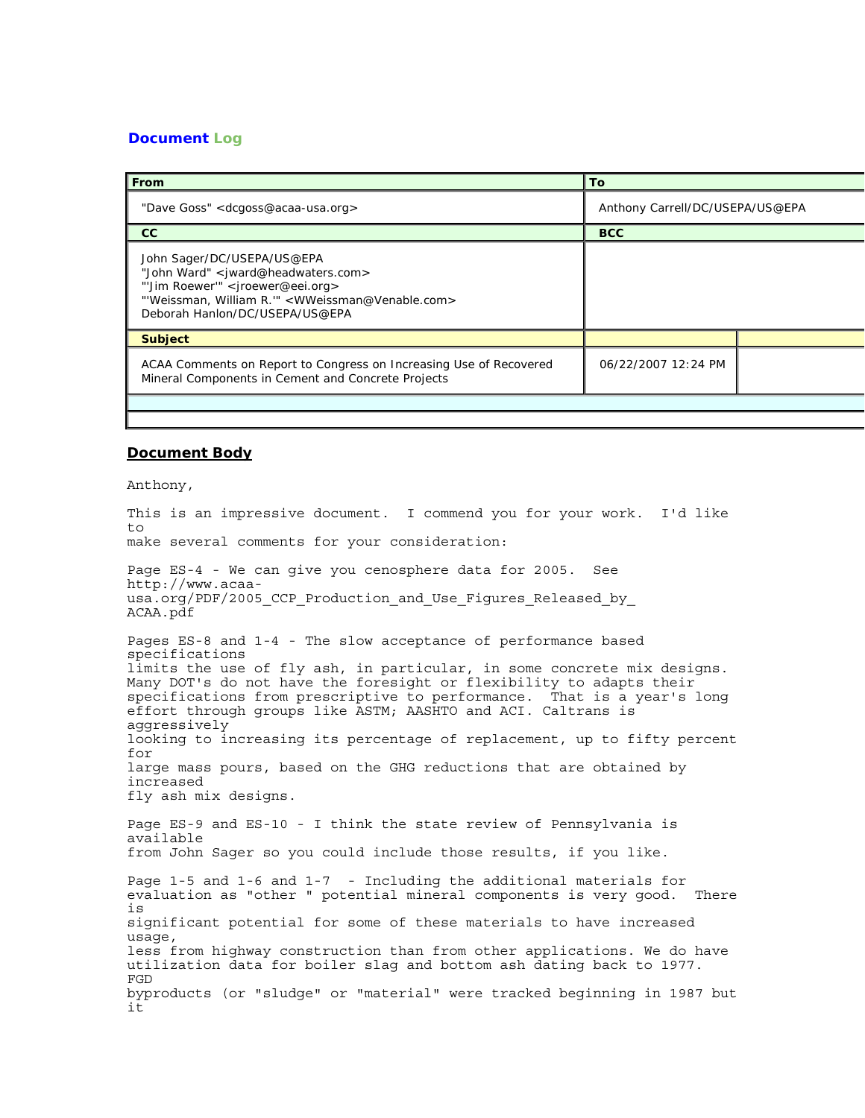## **Document Log**

| From                                                                                                                                                                                                                  | <b>To</b>                       |  |
|-----------------------------------------------------------------------------------------------------------------------------------------------------------------------------------------------------------------------|---------------------------------|--|
| "Dave Goss" <dcgoss@acaa-usa.org></dcgoss@acaa-usa.org>                                                                                                                                                               | Anthony Carrell/DC/USEPA/US@EPA |  |
| cc                                                                                                                                                                                                                    | <b>BCC</b>                      |  |
| John Sager/DC/USEPA/US@EPA<br>"John Ward" < jward@headwaters.com><br>"'Jim Roewer'" <jroewer@eei.org><br/>"Weissman, William R."" &lt; WWeissman@Venable.com&gt;<br/>Deborah Hanlon/DC/USEPA/US@EPA</jroewer@eei.org> |                                 |  |
| <b>Subject</b>                                                                                                                                                                                                        |                                 |  |
| ACAA Comments on Report to Congress on Increasing Use of Recovered<br>Mineral Components in Cement and Concrete Projects                                                                                              | 06/22/2007 12:24 PM             |  |
|                                                                                                                                                                                                                       |                                 |  |

## **Document Body**

Anthony,

This is an impressive document. I commend you for your work. I'd like to make several comments for your consideration: Page ES-4 - We can give you cenosphere data for 2005. See http://www.acaausa.org/PDF/2005 CCP Production and Use Figures Released by ACAA.pdf Pages ES-8 and 1-4 - The slow acceptance of performance based specifications limits the use of fly ash, in particular, in some concrete mix designs. Many DOT's do not have the foresight or flexibility to adapts their specifications from prescriptive to performance. That is a year's long effort through groups like ASTM; AASHTO and ACI. Caltrans is aggressively looking to increasing its percentage of replacement, up to fifty percent for large mass pours, based on the GHG reductions that are obtained by increased fly ash mix designs. Page ES-9 and ES-10 - I think the state review of Pennsylvania is available from John Sager so you could include those results, if you like. Page 1-5 and 1-6 and 1-7 - Including the additional materials for evaluation as "other " potential mineral components is very good. There is significant potential for some of these materials to have increased usage, less from highway construction than from other applications. We do have utilization data for boiler slag and bottom ash dating back to 1977. FGD byproducts (or "sludge" or "material" were tracked beginning in 1987 but it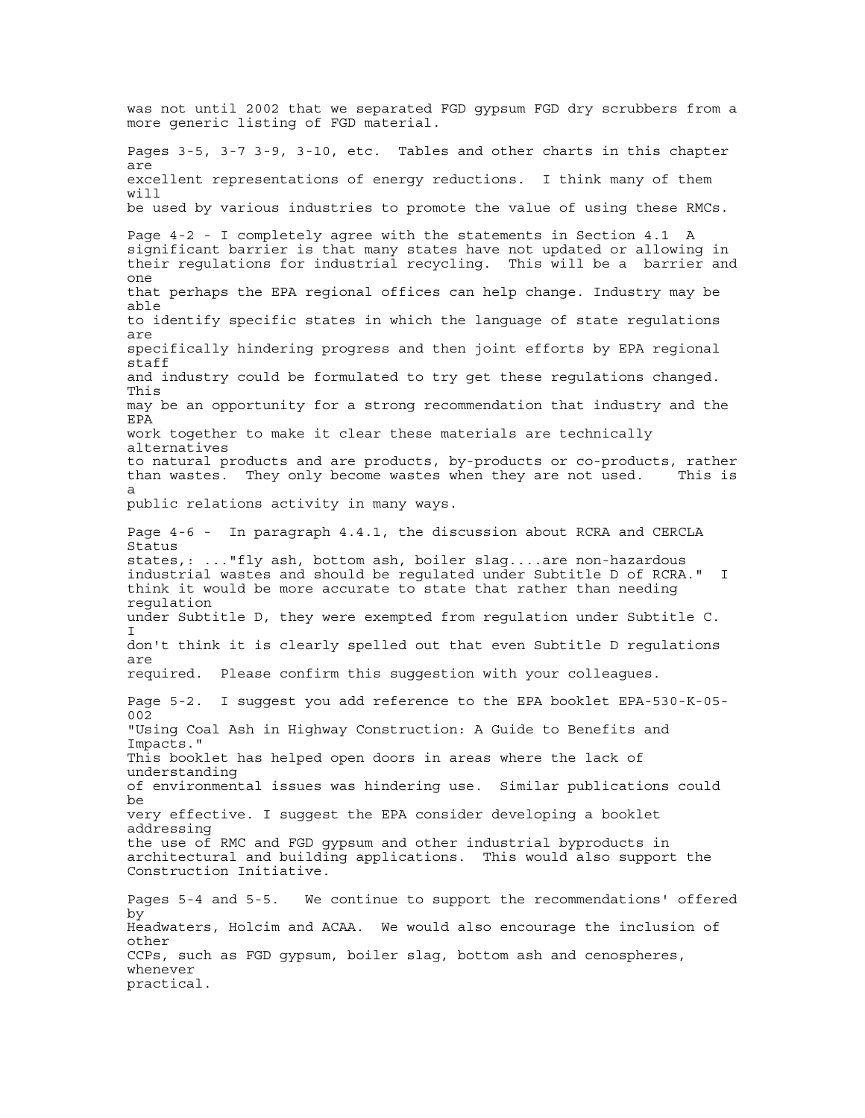was not until 2002 that we separated FGD gypsum FGD dry scrubbers from a more generic listing of FGD material. Pages 3-5, 3-7 3-9, 3-10, etc. Tables and other charts in this chapter are excellent representations of energy reductions. I think many of them will be used by various industries to promote the value of using these RMCs. Page 4-2 - I completely agree with the statements in Section 4.1 A significant barrier is that many states have not updated or allowing in their regulations for industrial recycling. This will be a barrier and one that perhaps the EPA regional offices can help change. Industry may be able to identify specific states in which the language of state regulations are specifically hindering progress and then joint efforts by EPA regional staff and industry could be formulated to try get these regulations changed. This may be an opportunity for a strong recommendation that industry and the EPA work together to make it clear these materials are technically alternatives to natural products and are products, by-products or co-products, rather than wastes. They only become wastes when they are not used. This is a public relations activity in many ways. Page 4-6 - In paragraph 4.4.1, the discussion about RCRA and CERCLA Status states,: ..."fly ash, bottom ash, boiler slag....are non-hazardous industrial wastes and should be regulated under Subtitle D of RCRA." I think it would be more accurate to state that rather than needing regulation under Subtitle D, they were exempted from regulation under Subtitle C. I don't think it is clearly spelled out that even Subtitle D regulations are required. Please confirm this suggestion with your colleagues. Page 5-2. I suggest you add reference to the EPA booklet EPA-530-K-05- 002 "Using Coal Ash in Highway Construction: A Guide to Benefits and Impacts." This booklet has helped open doors in areas where the lack of understanding of environmental issues was hindering use. Similar publications could be very effective. I suggest the EPA consider developing a booklet addressing the use of RMC and FGD gypsum and other industrial byproducts in architectural and building applications. This would also support the Construction Initiative. Pages 5-4 and 5-5. We continue to support the recommendations' offered by Headwaters, Holcim and ACAA. We would also encourage the inclusion of other CCPs, such as FGD gypsum, boiler slag, bottom ash and cenospheres, whenever practical.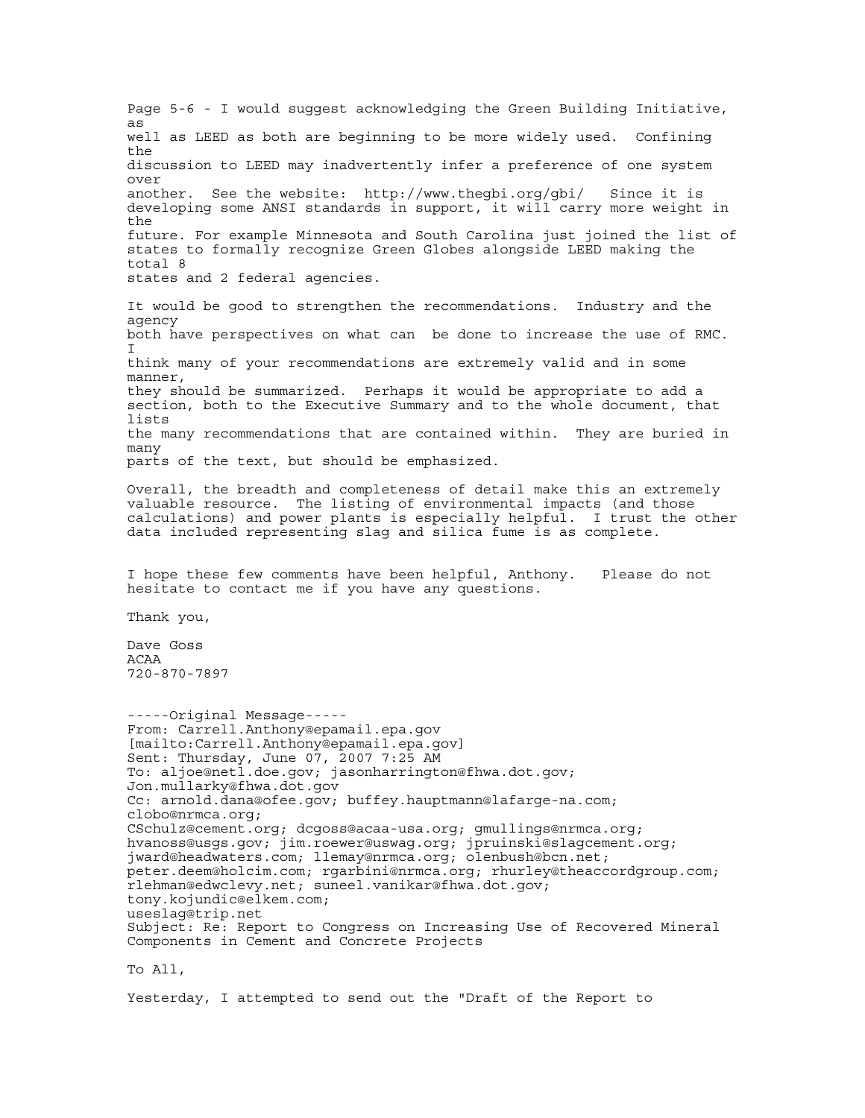Page 5-6 - I would suggest acknowledging the Green Building Initiative, as well as LEED as both are beginning to be more widely used. Confining the discussion to LEED may inadvertently infer a preference of one system over another. See the website: http://www.thegbi.org/gbi/ Since it is developing some ANSI standards in support, it will carry more weight in the future. For example Minnesota and South Carolina just joined the list of states to formally recognize Green Globes alongside LEED making the total 8 states and 2 federal agencies. It would be good to strengthen the recommendations. Industry and the agency both have perspectives on what can be done to increase the use of RMC.  $\mathsf{T}$ think many of your recommendations are extremely valid and in some manner, they should be summarized. Perhaps it would be appropriate to add a section, both to the Executive Summary and to the whole document, that lists the many recommendations that are contained within. They are buried in many parts of the text, but should be emphasized. Overall, the breadth and completeness of detail make this an extremely valuable resource. The listing of environmental impacts (and those calculations) and power plants is especially helpful. I trust the other data included representing slag and silica fume is as complete. I hope these few comments have been helpful, Anthony. Please do not hesitate to contact me if you have any questions. Thank you, Dave Goss ACAA 720-870-7897 -----Original Message----- From: Carrell.Anthony@epamail.epa.gov [mailto:Carrell.Anthony@epamail.epa.gov] Sent: Thursday, June 07, 2007 7:25 AM To: aljoe@netl.doe.gov; jasonharrington@fhwa.dot.gov; Jon.mullarky@fhwa.dot.gov Cc: arnold.dana@ofee.gov; buffey.hauptmann@lafarge-na.com; clobo@nrmca.org; CSchulz@cement.org; dcgoss@acaa-usa.org; gmullings@nrmca.org; hvanoss@usgs.gov; jim.roewer@uswag.org; jpruinski@slagcement.org; jward@headwaters.com; llemay@nrmca.org; olenbush@bcn.net; peter.deem@holcim.com; rgarbini@nrmca.org; rhurley@theaccordgroup.com; .<br>rlehman@edwclevy.net; suneel.vanikar@fhwa.dot.gov; tony.kojundic@elkem.com; useslag@trip.net Subject: Re: Report to Congress on Increasing Use of Recovered Mineral Components in Cement and Concrete Projects

To All,

Yesterday, I attempted to send out the "Draft of the Report to